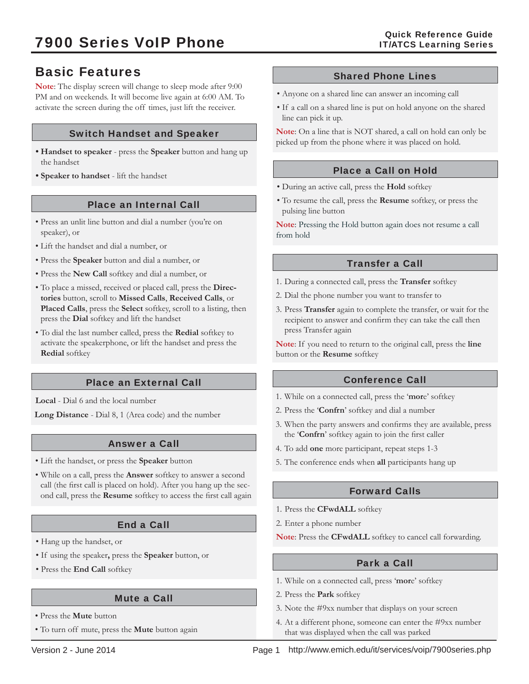# Basic Features

**Note**: The display screen will change to sleep mode after 9:00 PM and on weekends. It will become live again at 6:00 AM. To activate the screen during the off times, just lift the receiver.

## Switch Handset and Speaker

- **Handset to speaker**  press the **Speaker** button and hang up the handset
- **Speaker to handset**  lift the handset

## Place an Internal Call

- Press an unlit line button and dial a number (you're on speaker), or
- Lift the handset and dial a number, or
- Press the **Speaker** button and dial a number, or
- Press the **New Call** softkey and dial a number, or
- To place a missed, received or placed call, press the **Directories** button, scroll to **Missed Calls**, **Received Calls**, or **Placed Calls**, press the **Select** softkey, scroll to a listing, then press the **Dial** softkey and lift the handset
- To dial the last number called, press the **Redial** softkey to activate the speakerphone, or lift the handset and press the **Redial** softkey

## Place an External Call

**Local** - Dial 6 and the local number

**Long Distance** - Dial 8, 1 (Area code) and the number

## Answer a Call

- Lift the handset, or press the **Speaker** button
- While on a call, press the **Answer** softkey to answer a second call (the first call is placed on hold). After you hang up the second call, press the Resume softkey to access the first call again

## End a Call

- Hang up the handset, or
- If using the speaker**,** press the **Speaker** button, or
- Press the **End Call** softkey

#### Mute a Call

- Press the **Mute** button
- To turn off mute, press the **Mute** button again

### Shared Phone Lines

- Anyone on a shared line can answer an incoming call
- If a call on a shared line is put on hold anyone on the shared line can pick it up.

**Note**: On a line that is NOT shared, a call on hold can only be picked up from the phone where it was placed on hold.

## Place a Call on Hold

- During an active call, press the **Hold** softkey
- To resume the call, press the **Resume** softkey, or press the pulsing line button

**Note**: Pressing the Hold button again does not resume a call from hold

## Transfer a Call

- 1. During a connected call, press the **Transfer** softkey
- 2. Dial the phone number you want to transfer to
- 3. Press **Transfer** again to complete the transfer, or wait for the recipient to answer and confirm they can take the call then press Transfer again

**Note**: If you need to return to the original call, press the **line**  button or the **Resume** softkey

## Conference Call

- 1. While on a connected call, press the '**mor**e' softkey
- 2. Press the '**Confrn**' softkey and dial a number
- 3. When the party answers and confirms they are available, press the '**Confrn**' softkey again to join the first caller
- 4. To add **one** more participant, repeat steps 1-3
- 5. The conference ends when **all** participants hang up

## Forward Calls

- 1. Press the **CFwdALL** softkey
- 2. Enter a phone number
- **Note**: Press the **CFwdALL** softkey to cancel call forwarding.

## Park a Call

- 1. While on a connected call, press '**mor**e' softkey
- 2. Press the **Park** softkey
- 3. Note the #9xx number that displays on your screen
- 4. At a different phone, someone can enter the #9xx number that was displayed when the call was parked